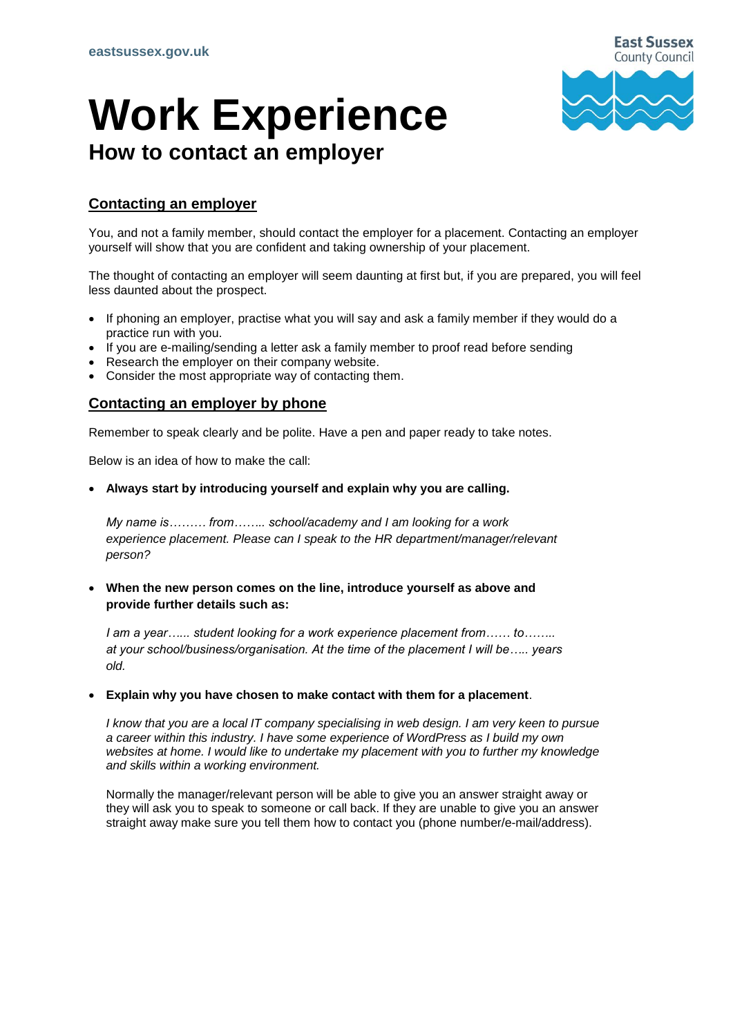# **Work Experience How to contact an employer**



## **Contacting an employer**

You, and not a family member, should contact the employer for a placement. Contacting an employer yourself will show that you are confident and taking ownership of your placement.

The thought of contacting an employer will seem daunting at first but, if you are prepared, you will feel less daunted about the prospect.

- If phoning an employer, practise what you will say and ask a family member if they would do a practice run with you.
- If you are e-mailing/sending a letter ask a family member to proof read before sending
- Research the employer on their company website.
- Consider the most appropriate way of contacting them.

## **Contacting an employer by phone**

Remember to speak clearly and be polite. Have a pen and paper ready to take notes.

Below is an idea of how to make the call:

**Always start by introducing yourself and explain why you are calling.**

*My name is……… from…….. school/academy and I am looking for a work experience placement. Please can I speak to the HR department/manager/relevant person?*

 **When the new person comes on the line, introduce yourself as above and provide further details such as:**

*I am a year…... student looking for a work experience placement from…… to…….. at your school/business/organisation. At the time of the placement I will be….. years old.*

**Explain why you have chosen to make contact with them for a placement**.

*I know that you are a local IT company specialising in web design. I am very keen to pursue a career within this industry. I have some experience of WordPress as I build my own websites at home. I would like to undertake my placement with you to further my knowledge and skills within a working environment.*

Normally the manager/relevant person will be able to give you an answer straight away or they will ask you to speak to someone or call back. If they are unable to give you an answer straight away make sure you tell them how to contact you (phone number/e-mail/address).